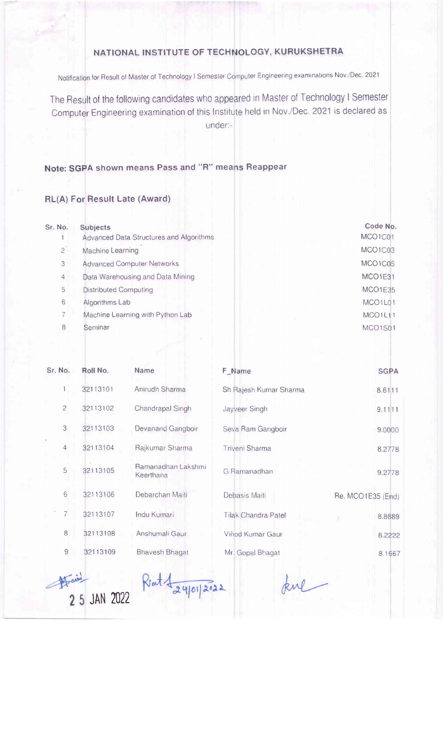## NATIONAL INSTITUTE OF TECHNOLOGY, KURUKSHETRA

Notification for Result of Master of Technology I Semester Computer Engineering examinations Nov./Dec. 2021

The Result of the following candidates who appeared in Master of Technology I Semester Computer Engineering examination of this Institute held in Nov./Dec. 2021 is declared as under:-

## Note: SGPA shown means Pass and "R" means Reappear

## RL(A) F Result Late (Award)

| Sr. No.        | Subjects                                       | Code No.                         |
|----------------|------------------------------------------------|----------------------------------|
|                | <b>Advanced Data Structures and Algorithms</b> | MCO1C01                          |
| $\overline{c}$ | Machine Learning                               | MCO1C03                          |
| 3              | <b>Advanced Computer Networks</b>              | MCO1C05                          |
| 4              | Data Warehousing and Data Mining               | MCO1E31                          |
| 5              | <b>Distributed Computing</b>                   | MCO1E35                          |
| 6              | Algorithms Lab                                 | MCO <sub>1</sub> L <sub>01</sub> |
|                | Machine Learning with Python Lab               | MCO1L11                          |
| 8              | Seminar                                        | MCO1S01                          |
|                |                                                |                                  |

| Sr. No.        | Roll No. | Name                            | F Name                     | <b>SGPA</b>       |
|----------------|----------|---------------------------------|----------------------------|-------------------|
| $\mathbf{1}$   | 32113101 | Anirudh Sharma                  | Sh Rajesh Kumar Sharma     | 8.6111            |
| $\overline{c}$ | 32113102 | Chandrapal Singh                | Jayveer Singh              | 9.1111            |
| 3              | 32113103 | Devanand Gangboir               | Seva Ram Gangboir          | 9.0000            |
| $\overline{4}$ | 32113104 | Rajkumar Sharma                 | Triveni Sharma             | 8.2778            |
| 5              | 32113105 | Ramanadhan Lakshmi<br>Keerthana | G Ramanadhan               | 9.2778            |
| 6              | 32113106 | Debarchan Maiti                 | Debasis Maiti              | Re. MCO1E35 (End) |
| $\overline{7}$ | 32113107 | Indu Kumari                     | <b>Tilak Chandra Patel</b> | 8.8889            |
| $\,8\,$        | 32113108 | Anshumali Gaur                  | Vinod Kumar Gaur           | 8.2222            |
| $\overline{9}$ | 32113109 | <b>Bhavesh Bhagat</b>           | Mr. Gopal Bhagat           | 8.1667            |

Hail 2 5 JAN 2022

 $Rot4$  = 24/01/2022

kul